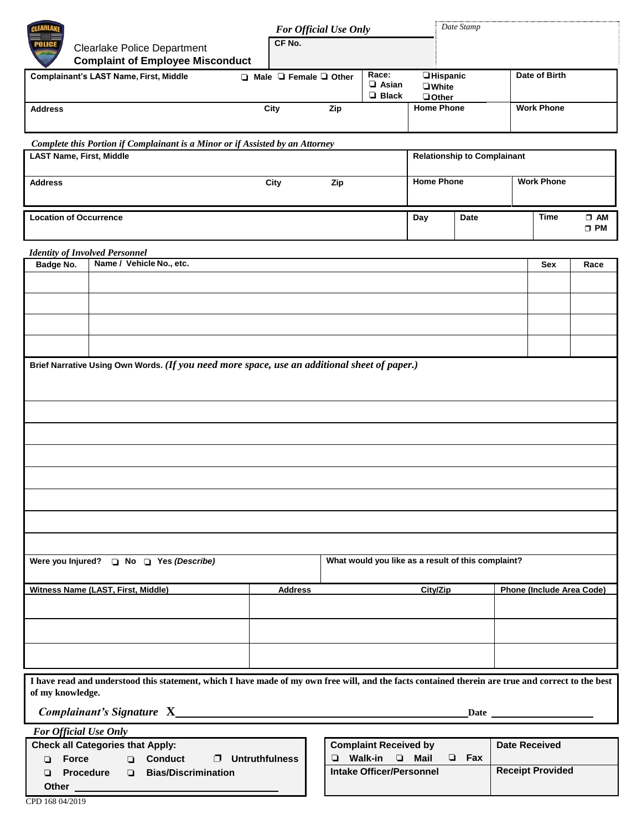| <b>Clearlake Police Department</b>                                                                                                                                     |                                         |  | For Official Use Only   |  |                                                                               |                                       |                                                     | Date Stamp                         |                   |                                  |                           |  |
|------------------------------------------------------------------------------------------------------------------------------------------------------------------------|-----------------------------------------|--|-------------------------|--|-------------------------------------------------------------------------------|---------------------------------------|-----------------------------------------------------|------------------------------------|-------------------|----------------------------------|---------------------------|--|
|                                                                                                                                                                        |                                         |  | CF No.                  |  |                                                                               |                                       |                                                     |                                    |                   |                                  |                           |  |
|                                                                                                                                                                        | <b>Complaint of Employee Misconduct</b> |  |                         |  |                                                                               |                                       |                                                     |                                    |                   |                                  |                           |  |
| <b>Complainant's LAST Name, First, Middle</b>                                                                                                                          |                                         |  | □ Male □ Female □ Other |  |                                                                               | Race:<br>$\Box$ Asian<br>$\Box$ Black | <b>Hispanic</b><br><b>U</b> White<br><b>Q</b> Other |                                    |                   | Date of Birth                    |                           |  |
| <b>Address</b>                                                                                                                                                         |                                         |  | City                    |  | Zip                                                                           |                                       | <b>Home Phone</b>                                   |                                    | <b>Work Phone</b> |                                  |                           |  |
| Complete this Portion if Complainant is a Minor or if Assisted by an Attorney                                                                                          |                                         |  |                         |  |                                                                               |                                       |                                                     |                                    |                   |                                  |                           |  |
| <b>LAST Name, First, Middle</b>                                                                                                                                        |                                         |  |                         |  |                                                                               |                                       |                                                     | <b>Relationship to Complainant</b> |                   |                                  |                           |  |
| <b>Address</b>                                                                                                                                                         |                                         |  | City                    |  | Zip                                                                           |                                       | <b>Home Phone</b>                                   |                                    | <b>Work Phone</b> |                                  |                           |  |
| <b>Location of Occurrence</b>                                                                                                                                          |                                         |  |                         |  |                                                                               |                                       | Day                                                 | Date                               |                   | <b>Time</b>                      | $\square$ AM<br>$\Box$ PM |  |
| <b>Identity of Involved Personnel</b>                                                                                                                                  |                                         |  |                         |  |                                                                               |                                       |                                                     |                                    |                   |                                  |                           |  |
| Badge No.                                                                                                                                                              | Name / Vehicle No., etc.                |  |                         |  |                                                                               |                                       |                                                     |                                    |                   | Sex                              | Race                      |  |
|                                                                                                                                                                        |                                         |  |                         |  |                                                                               |                                       |                                                     |                                    |                   |                                  |                           |  |
|                                                                                                                                                                        |                                         |  |                         |  |                                                                               |                                       |                                                     |                                    |                   |                                  |                           |  |
|                                                                                                                                                                        |                                         |  |                         |  |                                                                               |                                       |                                                     |                                    |                   |                                  |                           |  |
|                                                                                                                                                                        |                                         |  |                         |  |                                                                               |                                       |                                                     |                                    |                   |                                  |                           |  |
| Brief Narrative Using Own Words. (If you need more space, use an additional sheet of paper.)                                                                           |                                         |  |                         |  |                                                                               |                                       |                                                     |                                    |                   |                                  |                           |  |
|                                                                                                                                                                        |                                         |  |                         |  |                                                                               |                                       |                                                     |                                    |                   |                                  |                           |  |
|                                                                                                                                                                        |                                         |  |                         |  |                                                                               |                                       |                                                     |                                    |                   |                                  |                           |  |
|                                                                                                                                                                        |                                         |  |                         |  |                                                                               |                                       |                                                     |                                    |                   |                                  |                           |  |
|                                                                                                                                                                        |                                         |  |                         |  |                                                                               |                                       |                                                     |                                    |                   |                                  |                           |  |
|                                                                                                                                                                        |                                         |  |                         |  |                                                                               |                                       |                                                     |                                    |                   |                                  |                           |  |
|                                                                                                                                                                        |                                         |  |                         |  |                                                                               |                                       |                                                     |                                    |                   |                                  |                           |  |
|                                                                                                                                                                        |                                         |  |                         |  |                                                                               |                                       |                                                     |                                    |                   |                                  |                           |  |
|                                                                                                                                                                        |                                         |  |                         |  |                                                                               |                                       |                                                     |                                    |                   |                                  |                           |  |
|                                                                                                                                                                        |                                         |  |                         |  |                                                                               |                                       |                                                     |                                    |                   |                                  |                           |  |
|                                                                                                                                                                        |                                         |  |                         |  |                                                                               |                                       |                                                     |                                    |                   |                                  |                           |  |
| What would you like as a result of this complaint?<br>Were you Injured? <b>D</b> No <b>D</b> Yes (Describe)                                                            |                                         |  |                         |  |                                                                               |                                       |                                                     |                                    |                   |                                  |                           |  |
| <b>Witness Name (LAST, First, Middle)</b>                                                                                                                              |                                         |  | <b>Address</b>          |  |                                                                               |                                       |                                                     | City/Zip                           |                   | <b>Phone (Include Area Code)</b> |                           |  |
|                                                                                                                                                                        |                                         |  |                         |  |                                                                               |                                       |                                                     |                                    |                   |                                  |                           |  |
|                                                                                                                                                                        |                                         |  |                         |  |                                                                               |                                       |                                                     |                                    |                   |                                  |                           |  |
|                                                                                                                                                                        |                                         |  |                         |  |                                                                               |                                       |                                                     |                                    |                   |                                  |                           |  |
|                                                                                                                                                                        |                                         |  |                         |  |                                                                               |                                       |                                                     |                                    |                   |                                  |                           |  |
| I have read and understood this statement, which I have made of my own free will, and the facts contained therein are true and correct to the best<br>of my knowledge. |                                         |  |                         |  |                                                                               |                                       |                                                     |                                    |                   |                                  |                           |  |
|                                                                                                                                                                        |                                         |  |                         |  |                                                                               |                                       |                                                     |                                    |                   |                                  |                           |  |
| For Official Use Only                                                                                                                                                  |                                         |  |                         |  |                                                                               |                                       |                                                     |                                    |                   |                                  |                           |  |
| <b>Check all Categories that Apply:</b><br><b>D</b> Conduct<br>$\Box$ Untruthfulness<br>$\Box$ Force                                                                   |                                         |  |                         |  | <b>Complaint Received by</b><br>$\Box$ Fax<br><b>U</b> Walk-in<br>$\Box$ Mail |                                       |                                                     |                                    |                   | <b>Date Received</b>             |                           |  |
| Procedure<br><b>Bias/Discrimination</b><br>Other __                                                                                                                    |                                         |  |                         |  | <b>Intake Officer/Personnel</b>                                               |                                       |                                                     |                                    |                   | <b>Receipt Provided</b>          |                           |  |

٦Ī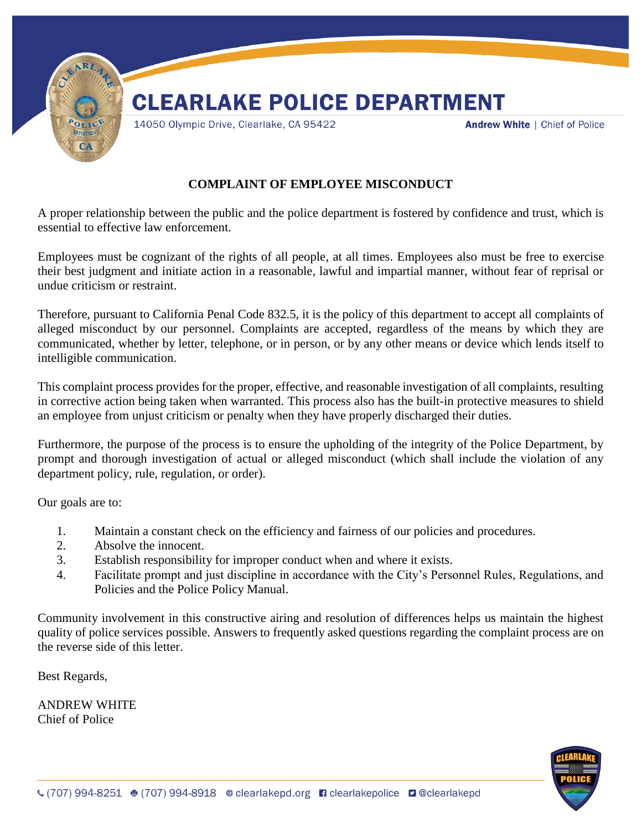

### **COMPLAINT OF EMPLOYEE MISCONDUCT**

A proper relationship between the public and the police department is fostered by confidence and trust, which is essential to effective law enforcement.

Employees must be cognizant of the rights of all people, at all times. Employees also must be free to exercise their best judgment and initiate action in a reasonable, lawful and impartial manner, without fear of reprisal or undue criticism or restraint.

Therefore, pursuant to California Penal Code 832.5, it is the policy of this department to accept all complaints of alleged misconduct by our personnel. Complaints are accepted, regardless of the means by which they are communicated, whether by letter, telephone, or in person, or by any other means or device which lends itself to intelligible communication.

This complaint process provides for the proper, effective, and reasonable investigation of all complaints, resulting in corrective action being taken when warranted. This process also has the built-in protective measures to shield an employee from unjust criticism or penalty when they have properly discharged their duties.

Furthermore, the purpose of the process is to ensure the upholding of the integrity of the Police Department, by prompt and thorough investigation of actual or alleged misconduct (which shall include the violation of any department policy, rule, regulation, or order).

Our goals are to:

- 1. Maintain a constant check on the efficiency and fairness of our policies and procedures.
- 2. Absolve the innocent.
- 3. Establish responsibility for improper conduct when and where it exists.
- 4. Facilitate prompt and just discipline in accordance with the City's Personnel Rules, Regulations, and Policies and the Police Policy Manual.

Community involvement in this constructive airing and resolution of differences helps us maintain the highest quality of police services possible. Answers to frequently asked questions regarding the complaint process are on the reverse side of this letter.

Best Regards,

ANDREW WHITE Chief of Police